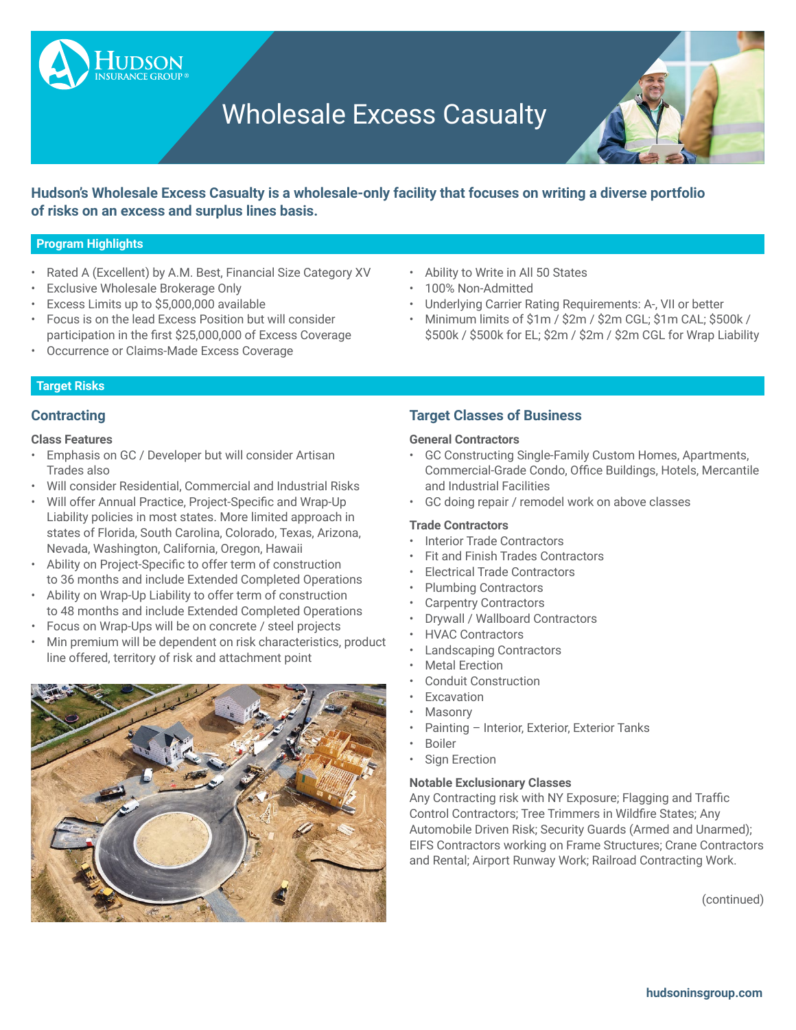# Wholesale Excess Casualty



**Hudson's Wholesale Excess Casualty is a wholesale-only facility that focuses on writing a diverse portfolio of risks on an excess and surplus lines basis.**

#### **Program Highlights**

- Rated A (Excellent) by A.M. Best, Financial Size Category XV
- **Exclusive Wholesale Brokerage Only**
- Excess Limits up to \$5,000,000 available

**UDSON** 

- Focus is on the lead Excess Position but will consider participation in the first \$25,000,000 of Excess Coverage
- Occurrence or Claims-Made Excess Coverage
- Ability to Write in All 50 States
- 100% Non-Admitted
- Underlying Carrier Rating Requirements: A-, VII or better
- Minimum limits of \$1m / \$2m / \$2m CGL; \$1m CAL; \$500k / \$500k / \$500k for EL; \$2m / \$2m / \$2m CGL for Wrap Liability

### **Target Risks**

# **Contracting**

#### **Class Features**

- Emphasis on GC / Developer but will consider Artisan Trades also
- Will consider Residential, Commercial and Industrial Risks
- • Will offer Annual Practice, Project-Specific and Wrap-Up Liability policies in most states. More limited approach in states of Florida, South Carolina, Colorado, Texas, Arizona, Nevada, Washington, California, Oregon, Hawaii
- • Ability on Project-Specific to offer term of construction to 36 months and include Extended Completed Operations
- • Ability on Wrap-Up Liability to offer term of construction to 48 months and include Extended Completed Operations
- • Focus on Wrap-Ups will be on concrete / steel projects
- Min premium will be dependent on risk characteristics, product line offered, territory of risk and attachment point



# **Target Classes of Business**

#### **General Contractors**

- GC Constructing Single-Family Custom Homes, Apartments, Commercial-Grade Condo, Office Buildings, Hotels, Mercantile and Industrial Facilities
- GC doing repair / remodel work on above classes

#### **Trade Contractors**

- Interior Trade Contractors
- Fit and Finish Trades Contractors
- Electrical Trade Contractors
- Plumbing Contractors
- Carpentry Contractors
- Drywall / Wallboard Contractors
- HVAC Contractors
- Landscaping Contractors
- **Metal Erection**
- Conduit Construction
- Excavation
- **Masonry**
- Painting Interior, Exterior, Exterior Tanks
- **Boiler**
- **Sign Erection**

#### **Notable Exclusionary Classes**

Any Contracting risk with NY Exposure; Flagging and Traffic Control Contractors; Tree Trimmers in Wildfire States; Any Automobile Driven Risk; Security Guards (Armed and Unarmed); EIFS Contractors working on Frame Structures; Crane Contractors and Rental; Airport Runway Work; Railroad Contracting Work.

(continued)